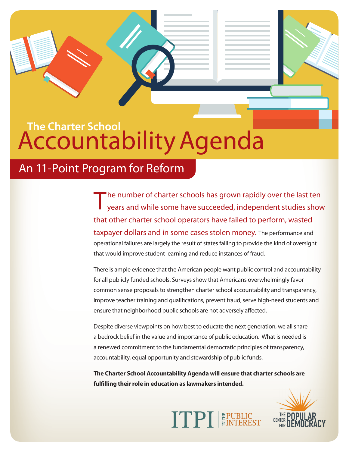## **The Charter School** Accountability Agenda

## An 11-Point Program for Reform

The number of charter schools has grown rapidly over the last ten years and while some have succeeded, independent studies show that other charter school operators have failed to perform, wasted taxpayer dollars and in some cases stolen money. The performance and operational failures are largely the result of states failing to provide the kind of oversight that would improve student learning and reduce instances of fraud.

There is ample evidence that the American people want public control and accountability for all publicly funded schools. Surveys show that Americans overwhelmingly favor common sense proposals to strengthen charter school accountability and transparency, improve teacher training and qualifications, prevent fraud, serve high-need students and ensure that neighborhood public schools are not adversely affected.

Despite diverse viewpoints on how best to educate the next generation, we all share a bedrock belief in the value and importance of public education. What is needed is a renewed commitment to the fundamental democratic principles of transparency, accountability, equal opportunity and stewardship of public funds.

**The Charter School Accountability Agenda will ensure that charter schools are fulfilling their role in education as lawmakers intended.**